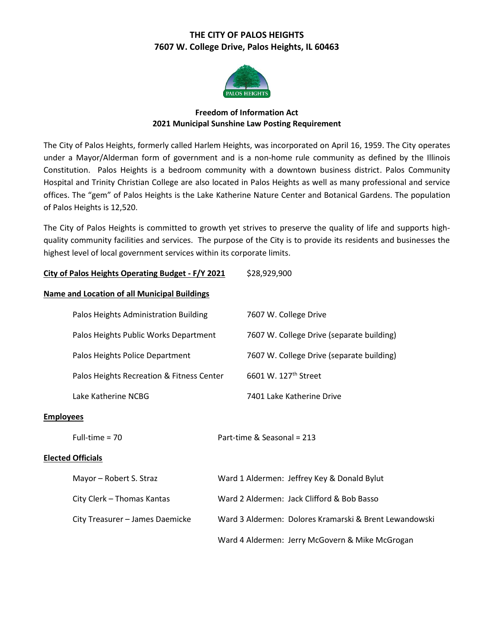# **THE CITY OF PALOS HEIGHTS 7607 W. College Drive, Palos Heights, IL 60463**



## **Freedom of Information Act 2021 Municipal Sunshine Law Posting Requirement**

The City of Palos Heights, formerly called Harlem Heights, was incorporated on April 16, 1959. The City operates under a Mayor/Alderman form of government and is a non-home rule community as defined by the Illinois Constitution. Palos Heights is a bedroom community with a downtown business district. Palos Community Hospital and Trinity Christian College are also located in Palos Heights as well as many professional and service offices. The "gem" of Palos Heights is the Lake Katherine Nature Center and Botanical Gardens. The population of Palos Heights is 12,520.

The City of Palos Heights is committed to growth yet strives to preserve the quality of life and supports highquality community facilities and services. The purpose of the City is to provide its residents and businesses the highest level of local government services within its corporate limits.

| City of Palos Heights Operating Budget - F/Y 2021   |                                                        | \$28,929,900                                    |
|-----------------------------------------------------|--------------------------------------------------------|-------------------------------------------------|
| <b>Name and Location of all Municipal Buildings</b> |                                                        |                                                 |
| Palos Heights Administration Building               |                                                        | 7607 W. College Drive                           |
| Palos Heights Public Works Department               |                                                        | 7607 W. College Drive (separate building)       |
| Palos Heights Police Department                     |                                                        | 7607 W. College Drive (separate building)       |
| Palos Heights Recreation & Fitness Center           |                                                        | 6601 W. 127 <sup>th</sup> Street                |
| Lake Katherine NCBG                                 |                                                        | 7401 Lake Katherine Drive                       |
| <b>Employees</b>                                    |                                                        |                                                 |
| Full-time = $70$                                    |                                                        | Part-time & Seasonal = 213                      |
| <b>Elected Officials</b>                            |                                                        |                                                 |
| Mayor - Robert S. Straz                             | Ward 1 Aldermen: Jeffrey Key & Donald Bylut            |                                                 |
| City Clerk - Thomas Kantas                          | Ward 2 Aldermen: Jack Clifford & Bob Basso             |                                                 |
| City Treasurer - James Daemicke                     | Ward 3 Aldermen: Dolores Kramarski & Brent Lewandowski |                                                 |
|                                                     |                                                        | Ward 4 Aldermen: Jerry McGovern & Mike McGrogan |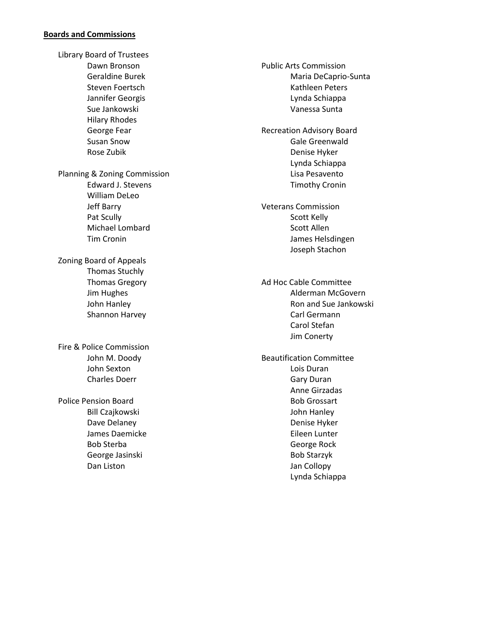#### **Boards and Commissions**

Library Board of Trustees Dawn Bronson Geraldine Burek Steven Foertsch Jannifer Georgis Sue Jankowski Hilary Rhodes George Fear Susan Snow Rose Zubik Planning & Zoning Commission Edward J. Stevens William DeLeo Jeff Barry Pat Scully Michael Lombard Tim Cronin Zoning Board of Appeals Thomas Stuchly Thomas Gregory Jim Hughes John Hanley Shannon Harvey Fire & Police Commission John M. Doody John Sexton Charles Doerr Police Pension Board Bill Czajkowski Dave Delaney James Daemicke Bob Sterba

> George Jasinski Dan Liston

Public Arts Commission Maria DeCaprio-Sunta Kathleen Peters Lynda Schiappa Vanessa Sunta Recreation Advisory Board Gale Greenwald Denise Hyker Lynda Schiappa Lisa Pesavento Timothy Cronin Veterans Commission Scott Kelly Scott Allen James Helsdingen Joseph Stachon Ad Hoc Cable Committee Alderman McGovern Ron and Sue Jankowski Carl Germann Carol Stefan Jim Conerty Beautification Committee Lois Duran Gary Duran Anne Girzadas Bob Grossart John Hanley Denise Hyker Eileen Lunter George Rock Bob Starzyk Jan Collopy Lynda Schiappa